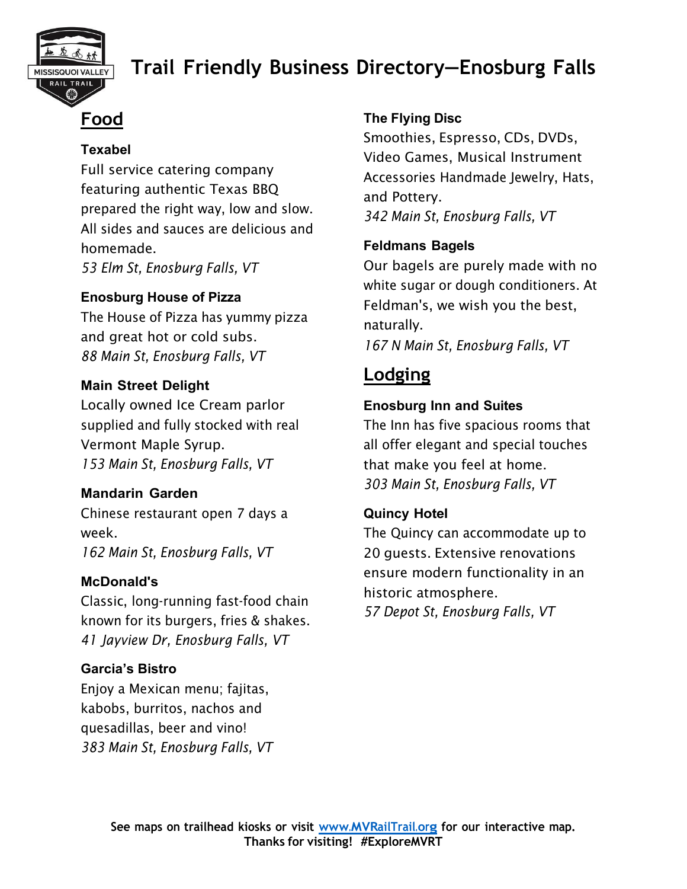

# **Trail Friendly Business Directory—Enosburg Falls**

## **Food**

#### **Texabel**

Full service catering company featuring authentic Texas BBQ prepared the right way, low and slow. All sides and sauces are delicious and homemade.

*53 Elm St, Enosburg Falls, VT*

### **Enosburg House of Pizza**

The House of Pizza has yummy pizza and great hot or cold subs. *88 Main St, Enosburg Falls, VT*

### **Main Street Delight**

Locally owned Ice Cream parlor supplied and fully stocked with real Vermont Maple Syrup. *153 Main St, Enosburg Falls, VT*

### **Mandarin Garden**

Chinese restaurant open 7 days a week. *162 Main St, Enosburg Falls, VT*

### **McDonald's**

Classic, long-running fast-food chain known for its burgers, fries & shakes. *41 Jayview Dr, Enosburg Falls, VT* 

### **Garcia's Bistro**

Enjoy a Mexican menu; fajitas, kabobs, burritos, nachos and quesadillas, beer and vino! *383 Main St, Enosburg Falls, VT*

### **The Flying Disc**

Smoothies, Espresso, CDs, DVDs, Video Games, Musical Instrument Accessories Handmade Jewelry, Hats, and Pottery. *342 Main St, Enosburg Falls, VT*

### **Feldmans Bagels**

Our bagels are purely made with no white sugar or dough conditioners. At Feldman's, we wish you the best, naturally. *167 N Main St, Enosburg Falls, VT* 

### **Lodging**

### **Enosburg Inn and Suites**

The Inn has five spacious rooms that all offer elegant and special touches that make you feel at home. *303 Main St, Enosburg Falls, VT*

### **Quincy Hotel**

The Quincy can accommodate up to 20 guests. Extensive renovations ensure modern functionality in an historic atmosphere. *57 Depot St, Enosburg Falls, VT*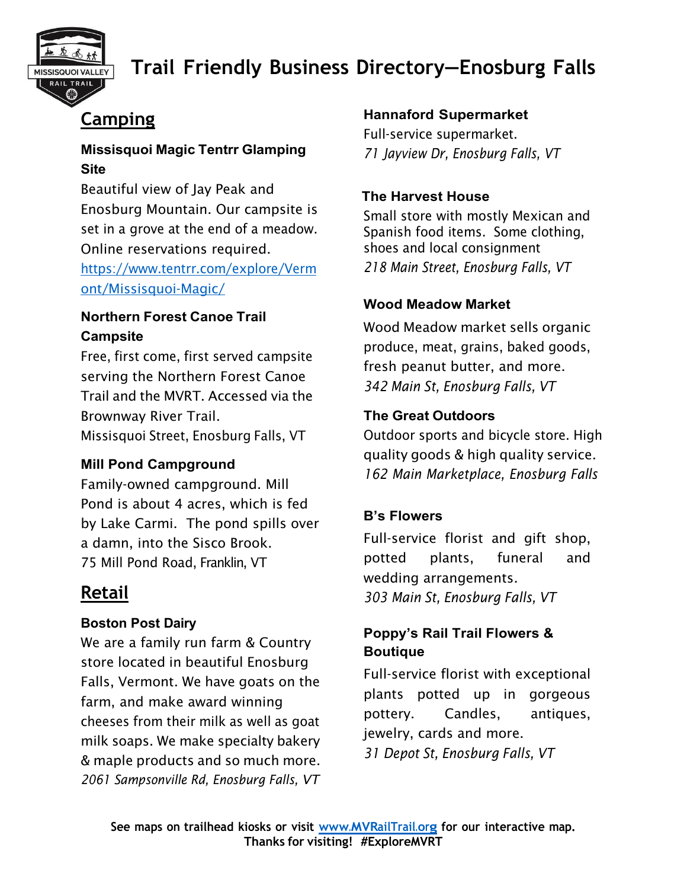

# **Trail Friendly Business Directory—Enosburg Falls**

# **Camping**

### **Missisquoi Magic Tentrr Glamping Site**

Beautiful view of Jay Peak and Enosburg Mountain. Our campsite is set in a grove at the end of a meadow. Online reservations required.

[https://www.tentrr.com/explore/Verm](https://www.tentrr.com/explore/Vermont/Missisquoi-Magic/) [ont/Missisquoi-Magic/](https://www.tentrr.com/explore/Vermont/Missisquoi-Magic/)

### **Northern Forest Canoe Trail Campsite**

Free, first come, first served campsite serving the Northern Forest Canoe Trail and the MVRT. Accessed via the Brownway River Trail.

Missisquoi Street, Enosburg Falls, VT

### **Mill Pond Campground**

Family-owned campground. Mill Pond is about 4 acres, which is fed by Lake Carmi. The pond spills over a damn, into the Sisco Brook. 75 Mill Pond Road, Franklin, VT

### **Retail**

### **Boston Post Dairy**

We are a family run farm & Country store located in beautiful Enosburg Falls, Vermont. We have goats on the farm, and make award winning cheeses from their milk as well as goat milk soaps. We make specialty bakery & maple products and so much more. *2061 Sampsonville Rd, Enosburg Falls, VT*

#### **Hannaford Supermarket**

Full-service supermarket. *71 Jayview Dr, Enosburg Falls, VT* 

### **The Harvest House**

Small store with mostly Mexican and Spanish food items. Some clothing, shoes and local consignment *218 Main Street, Enosburg Falls, VT* 

### **Wood Meadow Market**

Wood Meadow market sells organic produce, meat, grains, baked goods, fresh peanut butter, and more. *342 Main St, Enosburg Falls, VT*

### **The Great Outdoors**

Outdoor sports and bicycle store. High quality goods & high quality service. *162 Main Marketplace, Enosburg Falls*

### **B's Flowers**

Full-service florist and gift shop, potted plants, funeral and wedding arrangements. *303 Main St, Enosburg Falls, VT*

### **Poppy's Rail Trail Flowers & Boutique**

Full-service florist with exceptional plants potted up in gorgeous pottery. Candles, antiques, jewelry, cards and more. *31 Depot St, Enosburg Falls, VT*